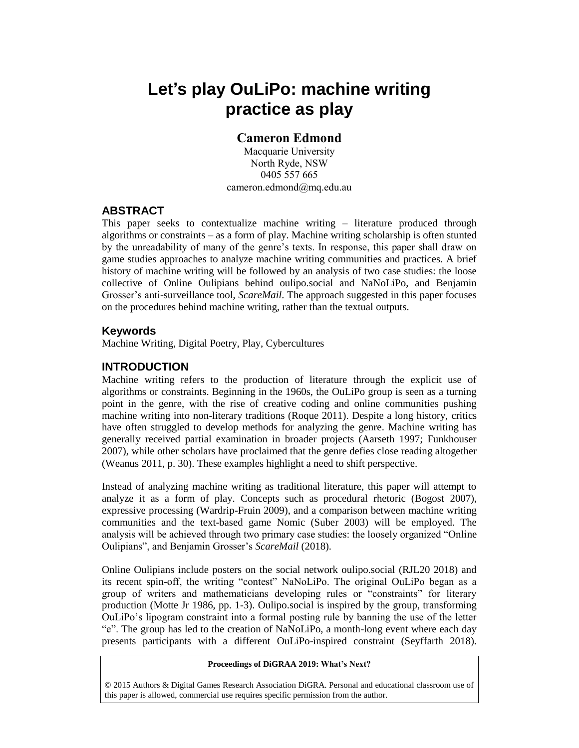# **Let's play OuLiPo: machine writing practice as play**

# **Cameron Edmond**

Macquarie University North Ryde, NSW 0405 557 665 cameron.edmond@mq.edu.au

## **ABSTRACT**

This paper seeks to contextualize machine writing – literature produced through algorithms or constraints – as a form of play. Machine writing scholarship is often stunted by the unreadability of many of the genre's texts. In response, this paper shall draw on game studies approaches to analyze machine writing communities and practices. A brief history of machine writing will be followed by an analysis of two case studies: the loose collective of Online Oulipians behind oulipo.social and NaNoLiPo, and Benjamin Grosser's anti-surveillance tool, *ScareMail*. The approach suggested in this paper focuses on the procedures behind machine writing, rather than the textual outputs.

## **Keywords**

Machine Writing, Digital Poetry, Play, Cybercultures

# **INTRODUCTION**

Machine writing refers to the production of literature through the explicit use of algorithms or constraints. Beginning in the 1960s, the OuLiPo group is seen as a turning point in the genre, with the rise of creative coding and online communities pushing machine writing into non-literary traditions (Roque 2011). Despite a long history, critics have often struggled to develop methods for analyzing the genre. Machine writing has generally received partial examination in broader projects (Aarseth 1997; Funkhouser 2007), while other scholars have proclaimed that the genre defies close reading altogether (Weanus 2011, p. 30). These examples highlight a need to shift perspective.

Instead of analyzing machine writing as traditional literature, this paper will attempt to analyze it as a form of play. Concepts such as procedural rhetoric (Bogost 2007), expressive processing (Wardrip-Fruin 2009), and a comparison between machine writing communities and the text-based game Nomic (Suber 2003) will be employed. The analysis will be achieved through two primary case studies: the loosely organized "Online Oulipians", and Benjamin Grosser's *ScareMail* (2018).

Online Oulipians include posters on the social network oulipo.social (RJL20 2018) and its recent spin-off, the writing "contest" NaNoLiPo. The original OuLiPo began as a group of writers and mathematicians developing rules or "constraints" for literary production (Motte Jr 1986, pp. 1-3). Oulipo.social is inspired by the group, transforming OuLiPo's lipogram constraint into a formal posting rule by banning the use of the letter "e". The group has led to the creation of NaNoLiPo, a month-long event where each day presents participants with a different OuLiPo-inspired constraint (Seyffarth 2018).

#### **Proceedings of DiGRAA 2019: What's Next?**

© 2015 Authors & Digital Games Research Association DiGRA. Personal and educational classroom use of this paper is allowed, commercial use requires specific permission from the author.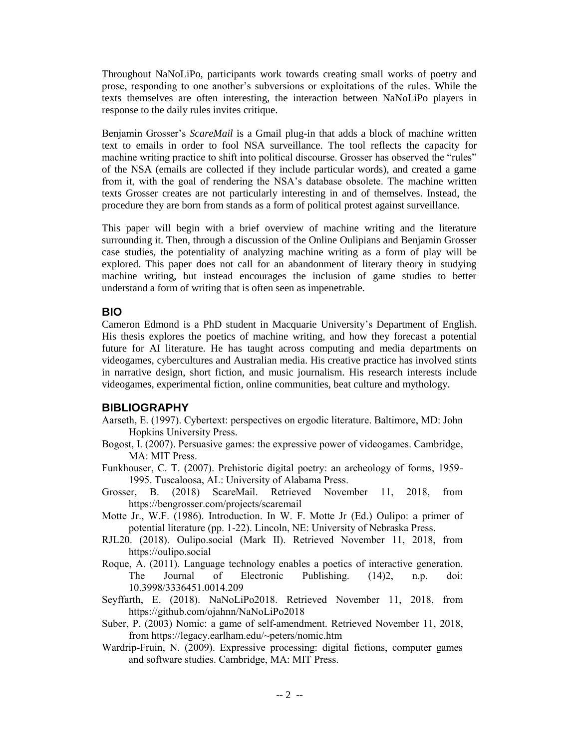Throughout NaNoLiPo, participants work towards creating small works of poetry and prose, responding to one another's subversions or exploitations of the rules. While the texts themselves are often interesting, the interaction between NaNoLiPo players in response to the daily rules invites critique.

Benjamin Grosser's *ScareMail* is a Gmail plug-in that adds a block of machine written text to emails in order to fool NSA surveillance. The tool reflects the capacity for machine writing practice to shift into political discourse. Grosser has observed the "rules" of the NSA (emails are collected if they include particular words), and created a game from it, with the goal of rendering the NSA's database obsolete. The machine written texts Grosser creates are not particularly interesting in and of themselves. Instead, the procedure they are born from stands as a form of political protest against surveillance.

This paper will begin with a brief overview of machine writing and the literature surrounding it. Then, through a discussion of the Online Oulipians and Benjamin Grosser case studies, the potentiality of analyzing machine writing as a form of play will be explored. This paper does not call for an abandonment of literary theory in studying machine writing, but instead encourages the inclusion of game studies to better understand a form of writing that is often seen as impenetrable.

# **BIO**

Cameron Edmond is a PhD student in Macquarie University's Department of English. His thesis explores the poetics of machine writing, and how they forecast a potential future for AI literature. He has taught across computing and media departments on videogames, cybercultures and Australian media. His creative practice has involved stints in narrative design, short fiction, and music journalism. His research interests include videogames, experimental fiction, online communities, beat culture and mythology.

## **BIBLIOGRAPHY**

- Aarseth, E. (1997). Cybertext: perspectives on ergodic literature. Baltimore, MD: John Hopkins University Press.
- Bogost, I. (2007). Persuasive games: the expressive power of videogames. Cambridge, MA: MIT Press.
- Funkhouser, C. T. (2007). Prehistoric digital poetry: an archeology of forms, 1959- 1995. Tuscaloosa, AL: University of Alabama Press.
- Grosser, B. (2018) ScareMail. Retrieved November 11, 2018, from https://bengrosser.com/projects/scaremail
- Motte Jr., W.F. (1986). Introduction. In W. F. Motte Jr (Ed.) Oulipo: a primer of potential literature (pp. 1-22). Lincoln, NE: University of Nebraska Press.
- RJL20. (2018). Oulipo.social (Mark II). Retrieved November 11, 2018, from https://oulipo.social
- Roque, A. (2011). Language technology enables a poetics of interactive generation. The Journal of Electronic Publishing. (14)2, n.p. doi: 10.3998/3336451.0014.209
- Seyffarth, E. (2018). NaNoLiPo2018. Retrieved November 11, 2018, from https://github.com/ojahnn/NaNoLiPo2018
- Suber, P. (2003) Nomic: a game of self-amendment. Retrieved November 11, 2018, from https://legacy.earlham.edu/~peters/nomic.htm
- Wardrip-Fruin, N. (2009). Expressive processing: digital fictions, computer games and software studies. Cambridge, MA: MIT Press.